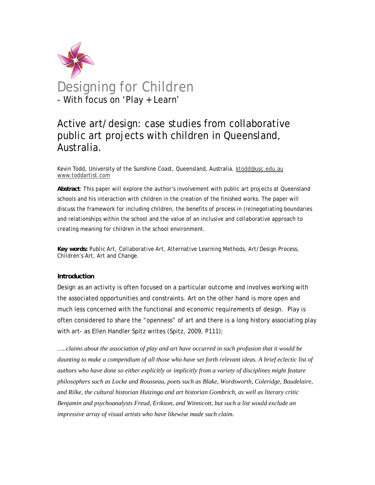

## Active art/design: case studies from collaborative public art projects *with* children in Queensland, Australia.

Kevin Todd, University of the Sunshine Coast, Queensland, Australia. ktodd@usc.edu.au www.toddartist.com

**Abstract**: This paper will explore the author's involvement with public art projects at Queensland schools and his interaction with children in the creation of the finished works. The paper will discuss the framework for including children, the benefits of process in (re)negotiating boundaries and relationships within the school and the value of an inclusive and collaborative approach to creating meaning for children in the school environment.

*Key words: Public Art, Collaborative Art, Alternative Learning Methods, Art/Design Process, Children's Art, Art and Change.* 

## **Introduction**

Design as an activity is often focused on a particular outcome and involves working with the associated opportunities and constraints. Art on the other hand is more open and much less concerned with the functional and economic requirements of design. Play is often considered to share the "openness" of art and there is a long history associating play with art- as Ellen Handler Spitz writes (Spitz, 2009, P111);

*…..claims about the association of play and art have occurred in such profusion that it would be daunting to make a compendium of all those who have set forth relevant ideas. A brief eclectic list of authors who have done so either explicitly or implicitly from a variety of disciplines might feature philosophers such as Locke and Rousseau, poets such as Blake, Wordsworth, Coleridge, Baudelaire, and Rilke, the cultural historian Huizinga and art historian Gombrich, as well as literary critic Benjamin and psychoanalysts Freud, Erikson, and Winnicott, but such a list would exclude an impressive array of visual artists who have likewise made such claim.*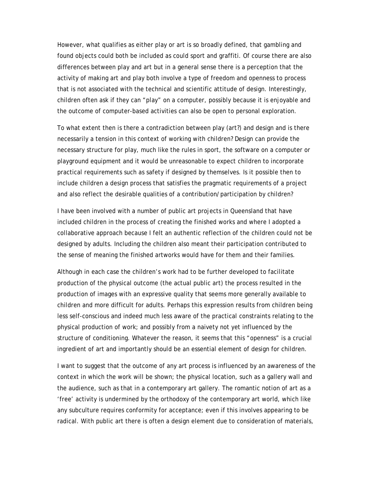However, what qualifies as either play or art is so broadly defined, that gambling and found objects could both be included as could sport and graffiti. Of course there are also differences between play and art but in a general sense there is a perception that the activity of making art and play both involve a type of freedom and openness to process that is not associated with the technical and scientific attitude of design. Interestingly, children often ask if they can "play" on a computer, possibly because it is enjoyable and the outcome of computer-based activities can also be open to personal exploration.

To what extent then is there a contradiction between play (art?) and design and is there necessarily a tension in this context of working with children? Design can provide the necessary structure for play, much like the rules in sport, the software on a computer or playground equipment and it would be unreasonable to expect children to incorporate practical requirements such as safety if designed by themselves. Is it possible then to include children a design process that satisfies the pragmatic requirements of a project and also reflect the desirable qualities of a contribution/participation by children?

I have been involved with a number of public art projects in Queensland that have included children in the process of creating the finished works and where I adopted a collaborative approach because I felt an authentic reflection of the children could not be *designed* by adults. Including the children also meant their participation contributed to the sense of meaning the finished artworks would have for them and their families.

Although in each case the children's work had to be further developed to facilitate production of the physical outcome (the actual public art) the process resulted in the production of images with an expressive quality that seems more generally available to children and more difficult for adults. Perhaps this expression results from children being less self-conscious and indeed much less aware of the practical constraints relating to the physical production of work; and possibly from a naivety not yet influenced by the structure of conditioning. Whatever the reason, it seems that this "openness" is a crucial ingredient of art and importantly should be an essential element of design for children.

I want to suggest that the outcome of any art process is influenced by an awareness of the context in which the work will be shown; the physical location, such as a gallery wall and the audience, such as that in a contemporary art gallery. The romantic notion of art as a 'free' activity is undermined by the orthodoxy of the contemporary art world, which like any subculture requires conformity for acceptance; even if this involves appearing to be radical. With public art there is often a design element due to consideration of materials,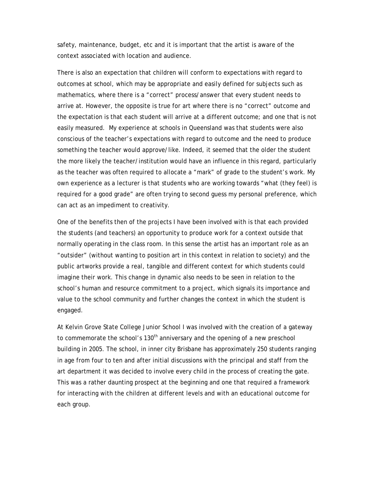safety, maintenance, budget, etc and it is important that the artist is aware of the context associated with location and audience.

There is also an expectation that children will conform to expectations with regard to outcomes at school, which may be appropriate and easily defined for subjects such as mathematics, where there is a "correct" process/answer that every student needs to arrive at. However, the opposite is true for art where there is no "correct" outcome and the expectation is that each student will arrive at a different outcome; and one that is not easily measured. My experience at schools in Queensland was that students were also conscious of the teacher's expectations with regard to outcome and the need to produce something the teacher would approve/like. Indeed, it seemed that the older the student the more likely the teacher/institution would have an influence in this regard, particularly as the teacher was often required to allocate a "mark" of grade to the student's work. My own experience as a lecturer is that students who are working towards "what (they feel) is required for a good grade" are often trying to second guess my personal preference, which can act as an impediment to creativity.

One of the benefits then of the projects I have been involved with is that each provided the students (and teachers) an opportunity to produce work for a context outside that normally operating in the class room. In this sense the artist has an important role as an "outsider" (without wanting to position art in this context in relation to society) and the public artworks provide a real, tangible and different context for which students could imagine their work. This change in dynamic also needs to be seen in relation to the school's human and resource commitment to a project, which signals its importance and value to the school community and further changes the context in which the student is engaged.

At Kelvin Grove State College Junior School I was involved with the creation of a gateway to commemorate the school's 130<sup>th</sup> anniversary and the opening of a new preschool building in 2005. The school, in inner city Brisbane has approximately 250 students ranging in age from four to ten and after initial discussions with the principal and staff from the art department it was decided to involve every child in the process of creating the gate. This was a rather daunting prospect at the beginning and one that required a framework for interacting with the children at different levels and with an educational outcome for each group.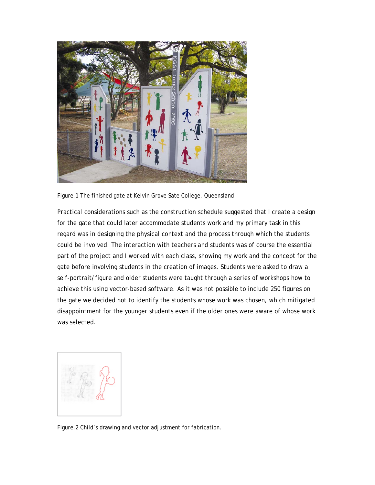

Figure.1 The finished gate at Kelvin Grove Sate College, Queensland

Practical considerations such as the construction schedule suggested that I create a design for the gate that could later accommodate students work and my primary task in this regard was in designing the physical context and the process through which the students could be involved. The interaction with teachers and students was of course the essential part of the project and I worked with each class, showing my work and the concept for the gate before involving students in the creation of images. Students were asked to draw a self-portrait/figure and older students were taught through a series of workshops how to achieve this using vector-based software. As it was not possible to include 250 figures on the gate we decided not to identify the students whose work was chosen, which mitigated disappointment for the younger students even if the older ones were aware of whose work was selected.



Figure.2 Child's drawing and vector adjustment for fabrication.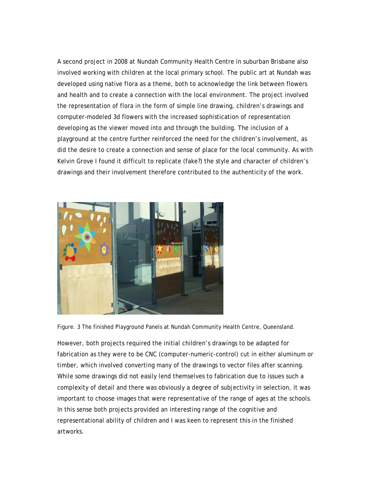A second project in 2008 at Nundah Community Health Centre in suburban Brisbane also involved working with children at the local primary school. The public art at Nundah was developed using native flora as a theme, both to acknowledge the link between flowers and health and to create a connection with the local environment. The project involved the representation of flora in the form of simple line drawing, children's drawings and computer-modeled 3d flowers with the increased sophistication of representation developing as the viewer moved into and through the building. The inclusion of a playground at the centre further reinforced the need for the children's involvement, as did the desire to create a connection and sense of place for the local community. As with Kelvin Grove I found it difficult to replicate (fake?) the style and character of children's drawings and their involvement therefore contributed to the authenticity of the work.



Figure. 3 The finished Playground Panels at Nundah Community Health Centre, Queensland.

However, both projects required the initial children's drawings to be adapted for fabrication as they were to be CNC (computer-numeric-control) cut in either aluminum or timber, which involved converting many of the drawings to vector files after scanning. While some drawings did not easily lend themselves to fabrication due to issues such a complexity of detail and there was obviously a degree of subjectivity in selection, it was important to choose images that were representative of the range of ages at the schools. In this sense both projects provided an interesting range of the cognitive and representational ability of children and I was keen to represent this in the finished artworks.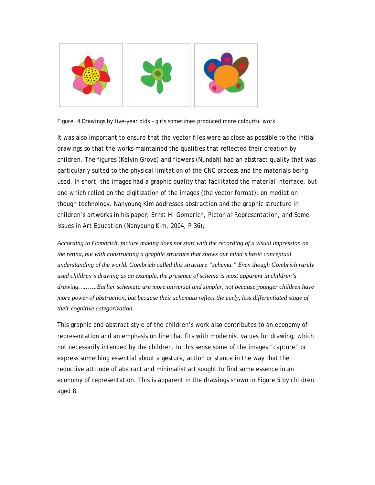

Figure. 4 Drawings by five-year olds – girls sometimes produced more colourful work

It was also important to ensure that the vector files were as close as possible to the initial drawings so that the works maintained the qualities that reflected their creation by children. The figures (Kelvin Grove) and flowers (Nundah) had an abstract quality that was particularly suited to the physical limitation of the CNC process and the materials being used. In short, the images had a graphic quality that facilitated the material interface, but one which relied on the digitization of the images (the vector format); on mediation though technology. Nanyoung Kim addresses abstraction and the graphic structure in children's artworks in his paper*; Ernst H. Gombrich, Pictorial Representation, and Some Issues in Art Education* (Nanyoung Kim, 2004, P 36)*;* 

*According to Gombrich, picture making does not start with the recording of a visual impression on the retina, but with constructing a graphic structure that shows our mind's basic conceptual understanding of the world. Gombrich called this structure "schema." Even though Gombrich rarely used children's drawing as an example, the presence of schema is most apparent in children's drawing……….Earlier schemata are more universal and simpler, not because younger children have more power of abstraction, but because their schemata reflect the early, less differentiated stage of their cognitive categorization.*

This graphic and abstract style of the children's work also contributes to an economy of representation and an emphasis on line that fits with modernist values for drawing, which not necessarily intended by the children. In this sense some of the images "capture" or express something essential about a gesture, action or stance in the way that the reductive attitude of abstract and minimalist art sought to find some essence in an economy of representation. This is apparent in the drawings shown in Figure 5 by children aged 8.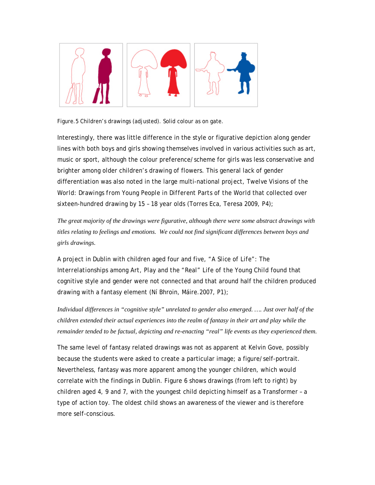

Figure.5 Children's drawings (adjusted). Solid colour as on gate.

Interestingly, there was little difference in the style or figurative depiction along gender lines with both boys and girls showing themselves involved in various activities such as art, music or sport, although the colour preference/scheme for girls was less conservative and brighter among older children's drawing of flowers. This general lack of gender differentiation was also noted in the large multi-national project, *Twelve Visions of the World: Drawings from Young People in Different Parts of the World* that collected over sixteen-hundred drawing by 15 – 18 year olds (Torres Eca, Teresa 2009, P4);

*The great majority of the drawings were figurative, although there were some abstract drawings with titles relating to feelings and emotions. We could not find significant differences between boys and girls drawings.*

A project in Dublin with children aged four and five, *"A Slice of Life": The Interrelationships among Art, Play and the "Real" Life of the Young Child* found that cognitive style and gender were not connected and that around half the children produced drawing with a fantasy element (Ní Bhroin, Máire.2007, P1);

*Individual differences in "cognitive style" unrelated to gender also emerged. …. Just over half of the children extended their actual experiences into the realm of fantasy in their art and play while the remainder tended to be factual, depicting and re-enacting "real" life events as they experienced them.*

The same level of fantasy related drawings was not as apparent at Kelvin Gove, possibly because the students were asked to create a particular image; a figure/self-portrait. Nevertheless, fantasy was more apparent among the younger children, which would correlate with the findings in Dublin. Figure 6 shows drawings (from left to right) by children aged 4, 9 and 7, with the youngest child depicting himself as a Transformer – a type of action toy. The oldest child shows an awareness of the viewer and is therefore more self-conscious.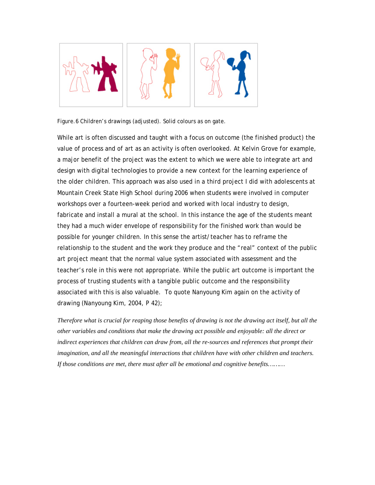

Figure.6 Children's drawings (adjusted). Solid colours as on gate.

While art is often discussed and taught with a focus on outcome (the finished product) the value of process and of art as an activity is often overlooked. At Kelvin Grove for example, a major benefit of the project was the extent to which we were able to integrate art and design with digital technologies to provide a new context for the learning experience of the older children. This approach was also used in a third project I did with adolescents at Mountain Creek State High School during 2006 when students were involved in computer workshops over a fourteen-week period and worked with local industry to design, fabricate and install a mural at the school. In this instance the age of the students meant they had a much wider envelope of responsibility for the finished work than would be possible for younger children. In this sense the artist/teacher has to reframe the relationship to the student and the work they produce and the "real" context of the public art project meant that the normal value system associated with assessment and the teacher's role in this were not appropriate. While the public art outcome is important the process of trusting students with a tangible public outcome and the responsibility associated with this is also valuable. To quote Nanyoung Kim again on the activity of drawing (Nanyoung Kim, 2004, P 42);

*Therefore what is crucial for reaping those benefits of drawing is not the drawing act itself, but all the other variables and conditions that make the drawing act possible and enjoyable: all the direct or indirect experiences that children can draw from, all the re-sources and references that prompt their imagination, and all the meaningful interactions that children have with other children and teachers. If those conditions are met, there must after all be emotional and cognitive benefits………*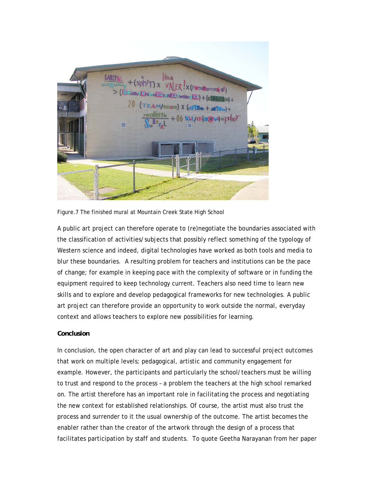

Figure.7 The finished mural at Mountain Creek State High School

A public art project can therefore operate to (re)negotiate the boundaries associated with the classification of activities/subjects that possibly reflect something of the typology of Western science and indeed, digital technologies have worked as both tools and media to blur these boundaries. A resulting problem for teachers and institutions can be the pace of change; for example in keeping pace with the complexity of software or in funding the equipment required to keep technology current. Teachers also need time to learn new skills and to explore and develop pedagogical frameworks for new technologies. A public art project can therefore provide an opportunity to work outside the normal, everyday context and allows teachers to explore new possibilities for learning.

## **Conclusion**

In conclusion, the *open* character of art and play can lead to successful project outcomes that work on multiple levels; pedagogical, artistic and community engagement for example. However, the participants and particularly the school/teachers must be willing to trust and respond to the process – a problem the teachers at the high school remarked on. The artist therefore has an important role in facilitating the process and negotiating the new context for established relationships. Of course, the artist must also trust the process and surrender to it the usual ownership of the outcome. The artist becomes the enabler rather than the creator of the artwork through the design of a process that facilitates participation by staff and students. To quote Geetha Narayanan from her paper